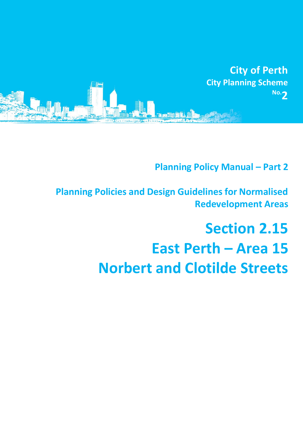

# **Planning Policy Manual - Part 2**

**Planning Policies and Design Guidelines for Normalised Redevelopment Areas**

# **Section 2.15 East Perth – Area 15 Norbert and Clotilde Streets**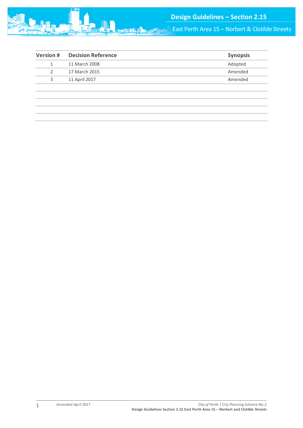

East Perth Area 15 – Norbert & Clotilde Streets

| <b>Version#</b> | <b>Decision Reference</b> | <b>Synopsis</b> |
|-----------------|---------------------------|-----------------|
|                 | 11 March 2008             | Adopted         |
| 2               | 17 March 2015             | Amended         |
| 3               | 11 April 2017             | Amended         |
|                 |                           |                 |
|                 |                           |                 |
|                 |                           |                 |
|                 |                           |                 |
|                 |                           |                 |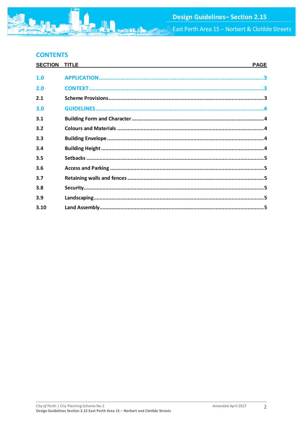East Perth Area 15 - Norbert & Clotilde Streets

# **CONTENTS**

| <b>SECTION</b> | <b>TITLE</b> | <b>PAGE</b> |
|----------------|--------------|-------------|
| 1.0            |              |             |
| 2.0            |              |             |
| 2.1            |              |             |
| 3.0            |              |             |
| 3.1            |              |             |
| 3.2            |              |             |
| 3.3            |              |             |
| 3.4            |              |             |
| 3.5            |              |             |
| 3.6            |              |             |
| 3.7            |              |             |
| 3.8            |              |             |
| 3.9            |              |             |
| 3.10           |              |             |
|                |              |             |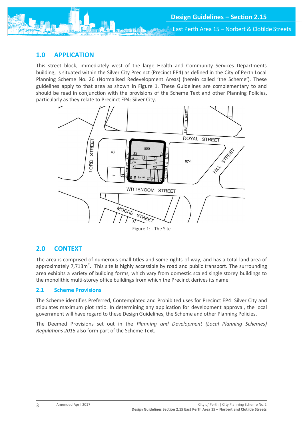

### <span id="page-3-0"></span>**1.0 APPLICATION**

This street block, immediately west of the large Health and Community Services Departments building, is situated within the Silver City Precinct (Precinct EP4) as defined in the City of Perth Local Planning Scheme No. 26 (Normalised Redevelopment Areas) (herein called 'the Scheme'). These guidelines apply to that area as shown in Figure 1. These Guidelines are complementary to and should be read in conjunction with the provisions of the Scheme Text and other Planning Policies, particularly as they relate to Precinct EP4: Silver City.



Figure 1: - The Site

# <span id="page-3-1"></span>**2.0 CONTEXT**

The area is comprised of numerous small titles and some rights-of-way, and has a total land area of approximately 7,713m<sup>2</sup>. This site is highly accessible by road and public transport. The surrounding area exhibits a variety of building forms, which vary from domestic scaled single storey buildings to the monolithic multi-storey office buildings from which the Precinct derives its name.

#### <span id="page-3-2"></span>**2.1 Scheme Provisions**

The Scheme identifies Preferred, Contemplated and Prohibited uses for Precinct EP4: Silver City and stipulates maximum plot ratio. In determining any application for development approval, the local government will have regard to these Design Guidelines, the Scheme and other Planning Policies.

The Deemed Provisions set out in the *Planning and Development (Local Planning Schemes) Regulations 2015* also form part of the Scheme Text.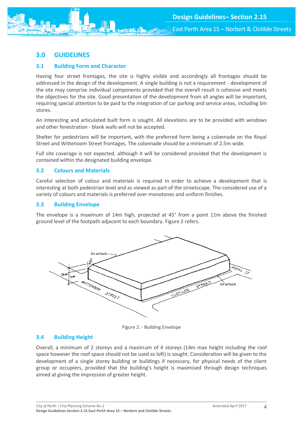## <span id="page-4-0"></span>**3.0 GUIDELINES**

#### <span id="page-4-1"></span>**3.1 Building Form and Character**

Having four street frontages, the site is highly visible and accordingly all frontages should be addressed in the design of the development. A single building is not a requirement - development of the site may comprise individual components provided that the overall result is cohesive and meets the objectives for the site. Good presentation of the development from all angles will be important, requiring special attention to be paid to the integration of car parking and service areas, including bin stores.

An interesting and articulated built form is sought. All elevations are to be provided with windows and other fenestration - blank walls will not be accepted.

Shelter for pedestrians will be important, with the preferred form being a colonnade on the Royal Street and Wittenoom Street frontages. The colonnade should be a minimum of 2.5m wide.

Full site coverage is not expected, although it will be considered provided that the development is contained within the designated building envelope.

#### <span id="page-4-2"></span>**3.2 Colours and Materials**

Careful selection of colour and materials is required in order to achieve a development that is interesting at both pedestrian level and as viewed as part of the streetscape. The considered use of a variety of colours and materials is preferred over monotones and uniform finishes.

#### <span id="page-4-3"></span>**3.3 Building Envelope**

The envelope is a maximum of 14m high, projected at 45° from a point 11m above the finished ground level of the footpath adjacent to each boundary. Figure 2 refers.



Figure 2: - Building Envelope

#### <span id="page-4-4"></span>**3.4 Building Height**

Overall, a minimum of 2 storeys and a maximum of 4 storeys (14m max height including the roof space however the roof space should not be used as loft) is sought. Consideration will be given to the development of a single storey building or buildings if necessary, for physical needs of the client group or occupiers, provided that the building's height is maximised through design techniques aimed at giving the impression of greater height.